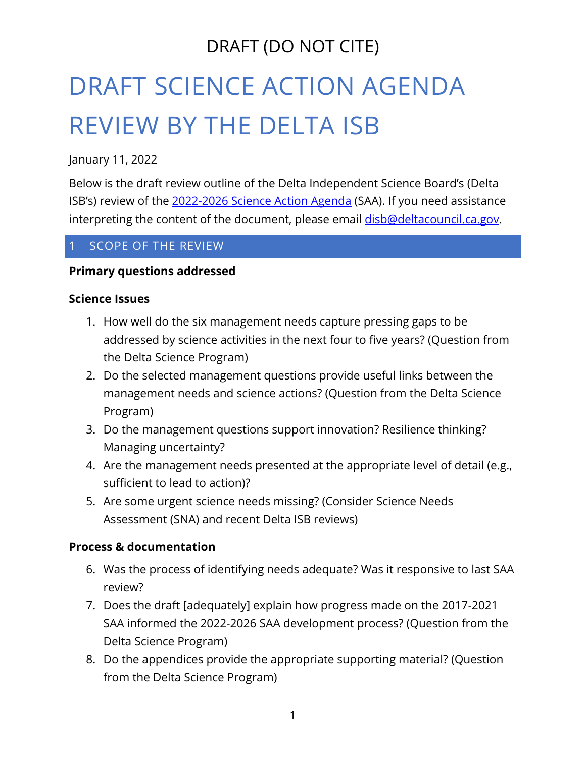# DRAFT SCIENCE ACTION AGENDA REVIEW BY THE DELTA ISB

January 11, 2022

Below is the draft review outline of the Delta Independent Science Board's (Delta ISB's) review of the [2022-2026 Science Action Agenda](https://scienceactionagenda.deltacouncil.ca.gov/pdf/2021-11-17-2022-2026-saa-public-review-draft.pdf) (SAA). If you need assistance interpreting the content of the document, please email **disb@deltacouncil.ca.gov**.

#### SCOPE OF THE REVIEW

#### **Primary questions addressed**

#### **Science Issues**

- 1. How well do the six management needs capture pressing gaps to be addressed by science activities in the next four to five years? (Question from the Delta Science Program)
- 2. Do the selected management questions provide useful links between the management needs and science actions? (Question from the Delta Science Program)
- 3. Do the management questions support innovation? Resilience thinking? Managing uncertainty?
- 4. Are the management needs presented at the appropriate level of detail (e.g., sufficient to lead to action)?
- 5. Are some urgent science needs missing? (Consider Science Needs Assessment (SNA) and recent Delta ISB reviews)

#### **Process & documentation**

- 6. Was the process of identifying needs adequate? Was it responsive to last SAA review?
- 7. Does the draft [adequately] explain how progress made on the 2017-2021 SAA informed the 2022-2026 SAA development process? (Question from the Delta Science Program)
- 8. Do the appendices provide the appropriate supporting material? (Question from the Delta Science Program)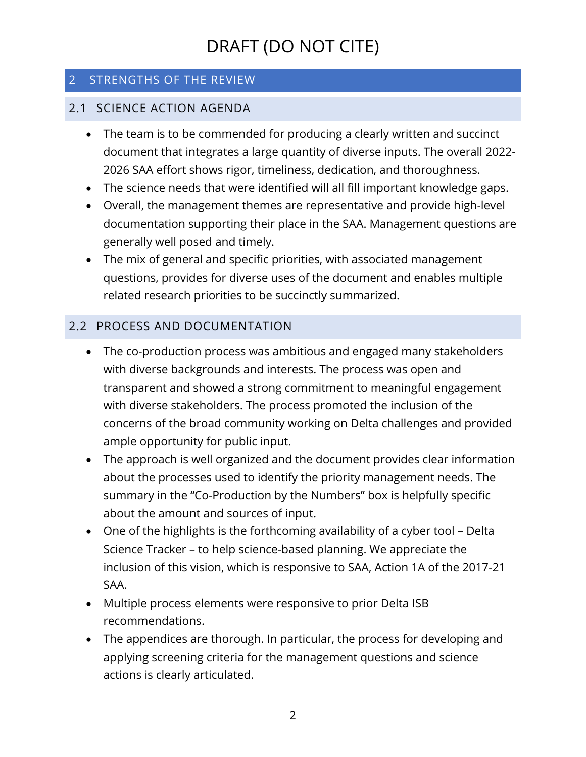### 2 STRENGTHS OF THE REVIEW

#### 2.1 SCIENCE ACTION AGENDA

- The team is to be commended for producing a clearly written and succinct document that integrates a large quantity of diverse inputs. The overall 2022- 2026 SAA effort shows rigor, timeliness, dedication, and thoroughness.
- The science needs that were identified will all fill important knowledge gaps.
- Overall, the management themes are representative and provide high-level documentation supporting their place in the SAA. Management questions are generally well posed and timely.
- The mix of general and specific priorities, with associated management questions, provides for diverse uses of the document and enables multiple related research priorities to be succinctly summarized.

### 2.2 PROCESS AND DOCUMENTATION

- The co-production process was ambitious and engaged many stakeholders with diverse backgrounds and interests. The process was open and transparent and showed a strong commitment to meaningful engagement with diverse stakeholders. The process promoted the inclusion of the concerns of the broad community working on Delta challenges and provided ample opportunity for public input.
- The approach is well organized and the document provides clear information about the processes used to identify the priority management needs. The summary in the "Co-Production by the Numbers" box is helpfully specific about the amount and sources of input.
- One of the highlights is the forthcoming availability of a cyber tool Delta Science Tracker – to help science-based planning. We appreciate the inclusion of this vision, which is responsive to SAA, Action 1A of the 2017-21 SAA.
- Multiple process elements were responsive to prior Delta ISB recommendations.
- The appendices are thorough. In particular, the process for developing and applying screening criteria for the management questions and science actions is clearly articulated.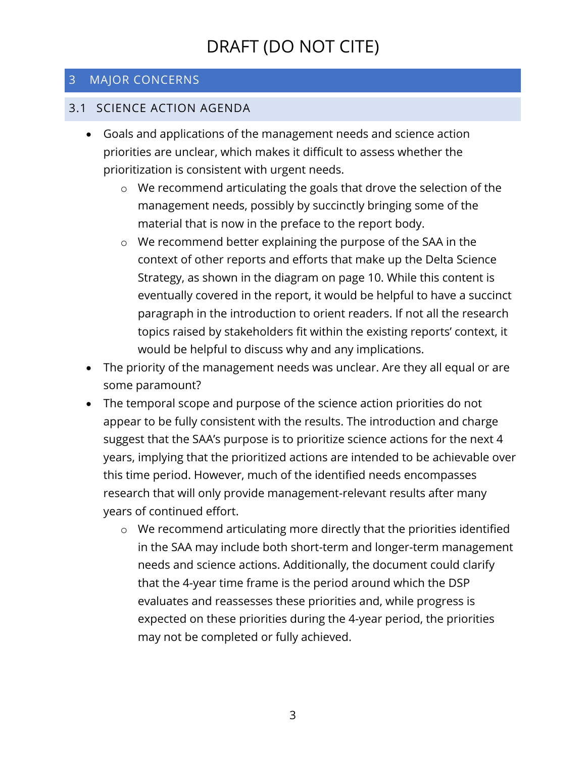#### 3 MAJOR CONCERNS

#### 3.1 SCIENCE ACTION AGENDA

- Goals and applications of the management needs and science action priorities are unclear, which makes it difficult to assess whether the prioritization is consistent with urgent needs.
	- o We recommend articulating the goals that drove the selection of the management needs, possibly by succinctly bringing some of the material that is now in the preface to the report body.
	- o We recommend better explaining the purpose of the SAA in the context of other reports and efforts that make up the Delta Science Strategy, as shown in the diagram on page 10. While this content is eventually covered in the report, it would be helpful to have a succinct paragraph in the introduction to orient readers. If not all the research topics raised by stakeholders fit within the existing reports' context, it would be helpful to discuss why and any implications.
- The priority of the management needs was unclear. Are they all equal or are some paramount?
- The temporal scope and purpose of the science action priorities do not appear to be fully consistent with the results. The introduction and charge suggest that the SAA's purpose is to prioritize science actions for the next 4 years, implying that the prioritized actions are intended to be achievable over this time period. However, much of the identified needs encompasses research that will only provide management-relevant results after many years of continued effort.
	- o We recommend articulating more directly that the priorities identified in the SAA may include both short-term and longer-term management needs and science actions. Additionally, the document could clarify that the 4-year time frame is the period around which the DSP evaluates and reassesses these priorities and, while progress is expected on these priorities during the 4-year period, the priorities may not be completed or fully achieved.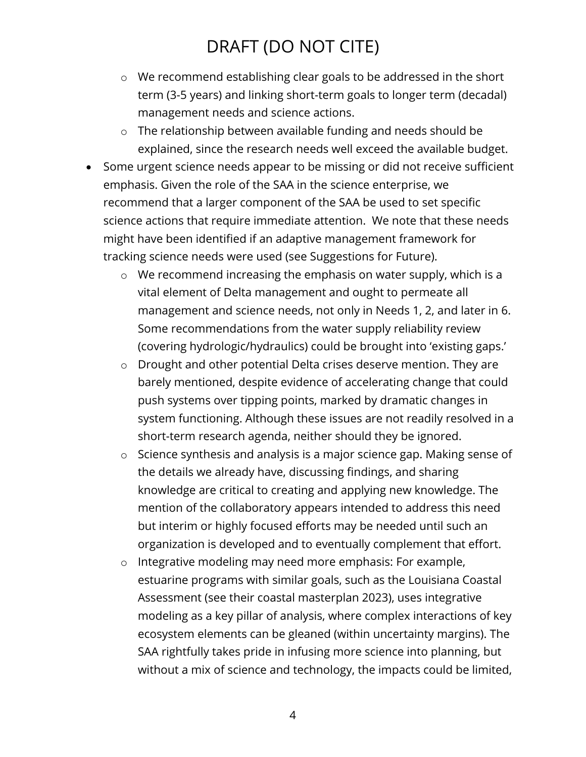- o We recommend establishing clear goals to be addressed in the short term (3-5 years) and linking short-term goals to longer term (decadal) management needs and science actions.
- o The relationship between available funding and needs should be explained, since the research needs well exceed the available budget.
- Some urgent science needs appear to be missing or did not receive sufficient emphasis. Given the role of the SAA in the science enterprise, we recommend that a larger component of the SAA be used to set specific science actions that require immediate attention. We note that these needs might have been identified if an adaptive management framework for tracking science needs were used (see Suggestions for Future).
	- o We recommend increasing the emphasis on water supply, which is a vital element of Delta management and ought to permeate all management and science needs, not only in Needs 1, 2, and later in 6. Some recommendations from the water supply reliability review (covering hydrologic/hydraulics) could be brought into 'existing gaps.'
	- o Drought and other potential Delta crises deserve mention. They are barely mentioned, despite evidence of accelerating change that could push systems over tipping points, marked by dramatic changes in system functioning. Although these issues are not readily resolved in a short-term research agenda, neither should they be ignored.
	- o Science synthesis and analysis is a major science gap. Making sense of the details we already have, discussing findings, and sharing knowledge are critical to creating and applying new knowledge. The mention of the collaboratory appears intended to address this need but interim or highly focused efforts may be needed until such an organization is developed and to eventually complement that effort.
	- o Integrative modeling may need more emphasis: For example, estuarine programs with similar goals, such as the Louisiana Coastal Assessment (see their coastal masterplan 2023), uses integrative modeling as a key pillar of analysis, where complex interactions of key ecosystem elements can be gleaned (within uncertainty margins). The SAA rightfully takes pride in infusing more science into planning, but without a mix of science and technology, the impacts could be limited,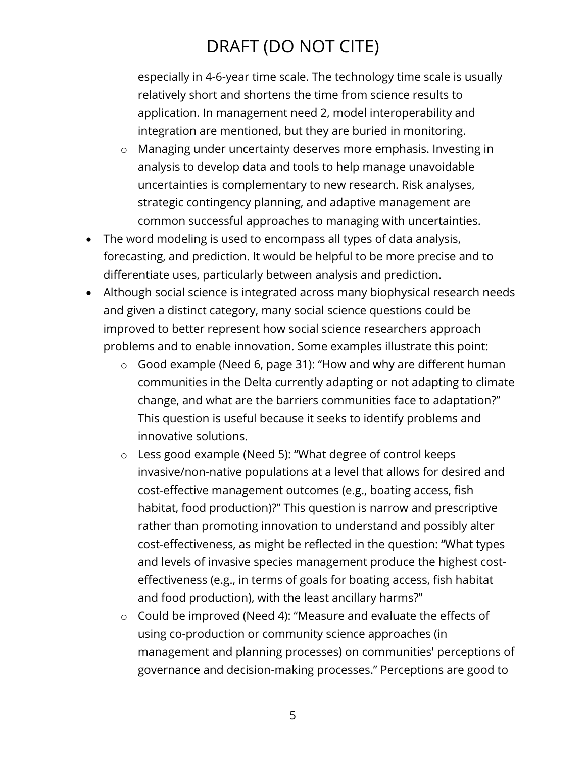especially in 4-6-year time scale. The technology time scale is usually relatively short and shortens the time from science results to application. In management need 2, model interoperability and integration are mentioned, but they are buried in monitoring.

- o Managing under uncertainty deserves more emphasis. Investing in analysis to develop data and tools to help manage unavoidable uncertainties is complementary to new research. Risk analyses, strategic contingency planning, and adaptive management are common successful approaches to managing with uncertainties.
- The word modeling is used to encompass all types of data analysis, forecasting, and prediction. It would be helpful to be more precise and to differentiate uses, particularly between analysis and prediction.
- Although social science is integrated across many biophysical research needs and given a distinct category, many social science questions could be improved to better represent how social science researchers approach problems and to enable innovation. Some examples illustrate this point:
	- o Good example (Need 6, page 31): "How and why are different human communities in the Delta currently adapting or not adapting to climate change, and what are the barriers communities face to adaptation?" This question is useful because it seeks to identify problems and innovative solutions.
	- o Less good example (Need 5): "What degree of control keeps invasive/non-native populations at a level that allows for desired and cost-effective management outcomes (e.g., boating access, fish habitat, food production)?" This question is narrow and prescriptive rather than promoting innovation to understand and possibly alter cost-effectiveness, as might be reflected in the question: "What types and levels of invasive species management produce the highest costeffectiveness (e.g., in terms of goals for boating access, fish habitat and food production), with the least ancillary harms?"
	- o Could be improved (Need 4): "Measure and evaluate the effects of using co-production or community science approaches (in management and planning processes) on communities' perceptions of governance and decision-making processes." Perceptions are good to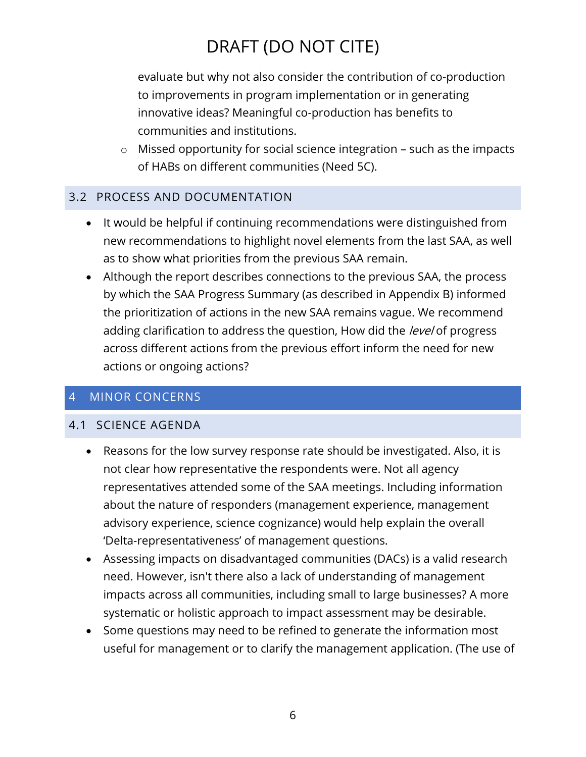evaluate but why not also consider the contribution of co-production to improvements in program implementation or in generating innovative ideas? Meaningful co-production has benefits to communities and institutions.

o Missed opportunity for social science integration – such as the impacts of HABs on different communities (Need 5C).

#### 3.2 PROCESS AND DOCUMENTATION

- It would be helpful if continuing recommendations were distinguished from new recommendations to highlight novel elements from the last SAA, as well as to show what priorities from the previous SAA remain.
- Although the report describes connections to the previous SAA, the process by which the SAA Progress Summary (as described in Appendix B) informed the prioritization of actions in the new SAA remains vague. We recommend adding clarification to address the question, How did the level of progress across different actions from the previous effort inform the need for new actions or ongoing actions?

#### 4 MINOR CONCERNS

#### 4.1 SCIENCE AGENDA

- Reasons for the low survey response rate should be investigated. Also, it is not clear how representative the respondents were. Not all agency representatives attended some of the SAA meetings. Including information about the nature of responders (management experience, management advisory experience, science cognizance) would help explain the overall 'Delta-representativeness' of management questions.
- Assessing impacts on disadvantaged communities (DACs) is a valid research need. However, isn't there also a lack of understanding of management impacts across all communities, including small to large businesses? A more systematic or holistic approach to impact assessment may be desirable.
- Some questions may need to be refined to generate the information most useful for management or to clarify the management application. (The use of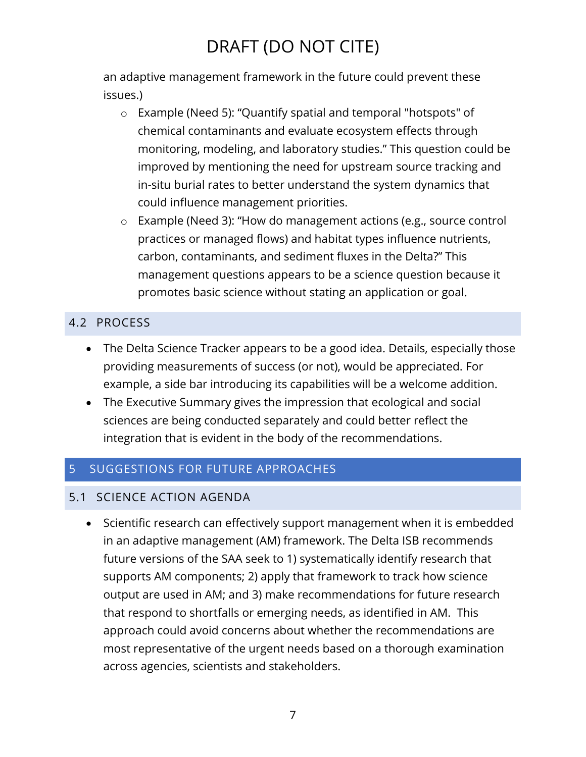an adaptive management framework in the future could prevent these issues.)

- o Example (Need 5): "Quantify spatial and temporal "hotspots" of chemical contaminants and evaluate ecosystem effects through monitoring, modeling, and laboratory studies." This question could be improved by mentioning the need for upstream source tracking and in-situ burial rates to better understand the system dynamics that could influence management priorities.
- o Example (Need 3): "How do management actions (e.g., source control practices or managed flows) and habitat types influence nutrients, carbon, contaminants, and sediment fluxes in the Delta?" This management questions appears to be a science question because it promotes basic science without stating an application or goal.

### 4.2 PROCESS

- The Delta Science Tracker appears to be a good idea. Details, especially those providing measurements of success (or not), would be appreciated. For example, a side bar introducing its capabilities will be a welcome addition.
- The Executive Summary gives the impression that ecological and social sciences are being conducted separately and could better reflect the integration that is evident in the body of the recommendations.

### 5 SUGGESTIONS FOR FUTURE APPROACHES

### 5.1 SCIENCE ACTION AGENDA

• Scientific research can effectively support management when it is embedded in an adaptive management (AM) framework. The Delta ISB recommends future versions of the SAA seek to 1) systematically identify research that supports AM components; 2) apply that framework to track how science output are used in AM; and 3) make recommendations for future research that respond to shortfalls or emerging needs, as identified in AM. This approach could avoid concerns about whether the recommendations are most representative of the urgent needs based on a thorough examination across agencies, scientists and stakeholders.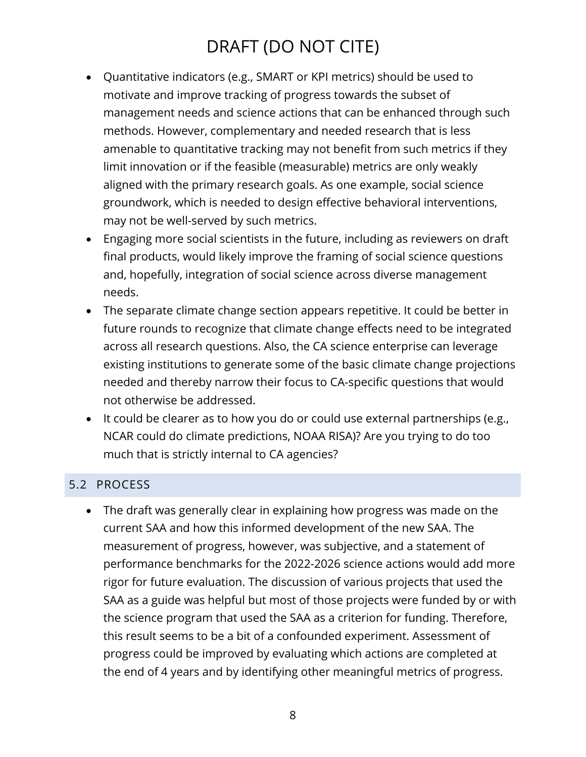- Quantitative indicators (e.g., SMART or KPI metrics) should be used to motivate and improve tracking of progress towards the subset of management needs and science actions that can be enhanced through such methods. However, complementary and needed research that is less amenable to quantitative tracking may not benefit from such metrics if they limit innovation or if the feasible (measurable) metrics are only weakly aligned with the primary research goals. As one example, social science groundwork, which is needed to design effective behavioral interventions, may not be well-served by such metrics.
- Engaging more social scientists in the future, including as reviewers on draft final products, would likely improve the framing of social science questions and, hopefully, integration of social science across diverse management needs.
- The separate climate change section appears repetitive. It could be better in future rounds to recognize that climate change effects need to be integrated across all research questions. Also, the CA science enterprise can leverage existing institutions to generate some of the basic climate change projections needed and thereby narrow their focus to CA-specific questions that would not otherwise be addressed.
- It could be clearer as to how you do or could use external partnerships (e.g., NCAR could do climate predictions, NOAA RISA)? Are you trying to do too much that is strictly internal to CA agencies?

### 5.2 PROCESS

• The draft was generally clear in explaining how progress was made on the current SAA and how this informed development of the new SAA. The measurement of progress, however, was subjective, and a statement of performance benchmarks for the 2022-2026 science actions would add more rigor for future evaluation. The discussion of various projects that used the SAA as a guide was helpful but most of those projects were funded by or with the science program that used the SAA as a criterion for funding. Therefore, this result seems to be a bit of a confounded experiment. Assessment of progress could be improved by evaluating which actions are completed at the end of 4 years and by identifying other meaningful metrics of progress.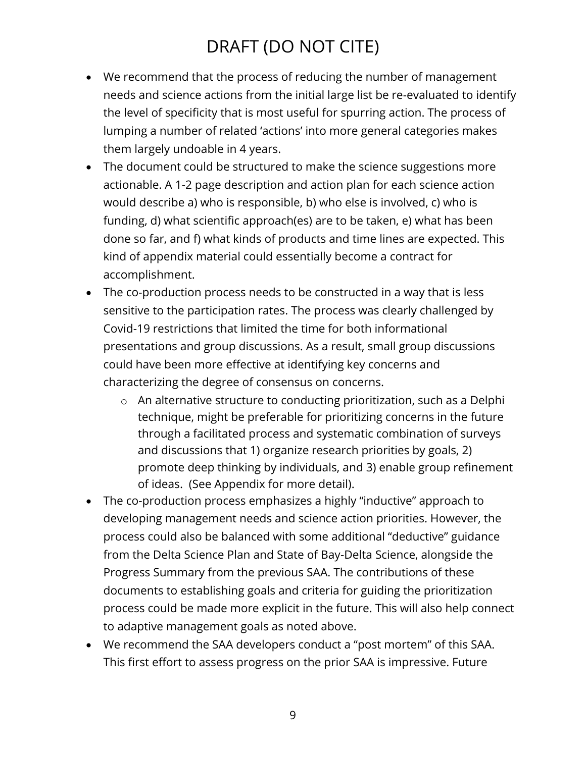- We recommend that the process of reducing the number of management needs and science actions from the initial large list be re-evaluated to identify the level of specificity that is most useful for spurring action. The process of lumping a number of related 'actions' into more general categories makes them largely undoable in 4 years.
- The document could be structured to make the science suggestions more actionable. A 1-2 page description and action plan for each science action would describe a) who is responsible, b) who else is involved, c) who is funding, d) what scientific approach(es) are to be taken, e) what has been done so far, and f) what kinds of products and time lines are expected. This kind of appendix material could essentially become a contract for accomplishment.
- The co-production process needs to be constructed in a way that is less sensitive to the participation rates. The process was clearly challenged by Covid-19 restrictions that limited the time for both informational presentations and group discussions. As a result, small group discussions could have been more effective at identifying key concerns and characterizing the degree of consensus on concerns.
	- o An alternative structure to conducting prioritization, such as a Delphi technique, might be preferable for prioritizing concerns in the future through a facilitated process and systematic combination of surveys and discussions that 1) organize research priorities by goals, 2) promote deep thinking by individuals, and 3) enable group refinement of ideas. (See Appendix for more detail).
- The co-production process emphasizes a highly "inductive" approach to developing management needs and science action priorities. However, the process could also be balanced with some additional "deductive" guidance from the Delta Science Plan and State of Bay-Delta Science, alongside the Progress Summary from the previous SAA. The contributions of these documents to establishing goals and criteria for guiding the prioritization process could be made more explicit in the future. This will also help connect to adaptive management goals as noted above.
- We recommend the SAA developers conduct a "post mortem" of this SAA. This first effort to assess progress on the prior SAA is impressive. Future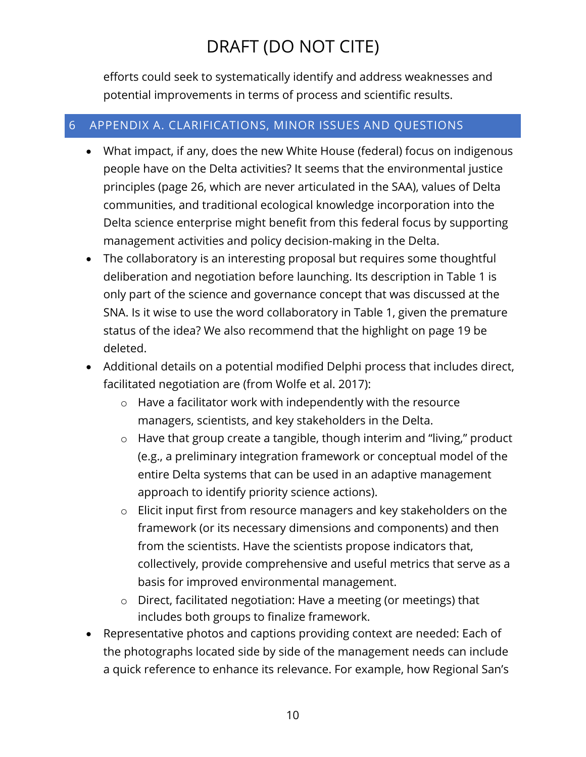efforts could seek to systematically identify and address weaknesses and potential improvements in terms of process and scientific results.

#### 6 APPENDIX A. CLARIFICATIONS, MINOR ISSUES AND QUESTIONS

- What impact, if any, does the new White House (federal) focus on indigenous people have on the Delta activities? It seems that the environmental justice principles (page 26, which are never articulated in the SAA), values of Delta communities, and traditional ecological knowledge incorporation into the Delta science enterprise might benefit from this federal focus by supporting management activities and policy decision-making in the Delta.
- The collaboratory is an interesting proposal but requires some thoughtful deliberation and negotiation before launching. Its description in Table 1 is only part of the science and governance concept that was discussed at the SNA. Is it wise to use the word collaboratory in Table 1, given the premature status of the idea? We also recommend that the highlight on page 19 be deleted.
- Additional details on a potential modified Delphi process that includes direct, facilitated negotiation are (from Wolfe et al. 2017):
	- o Have a facilitator work with independently with the resource managers, scientists, and key stakeholders in the Delta.
	- o Have that group create a tangible, though interim and "living," product (e.g., a preliminary integration framework or conceptual model of the entire Delta systems that can be used in an adaptive management approach to identify priority science actions).
	- o Elicit input first from resource managers and key stakeholders on the framework (or its necessary dimensions and components) and then from the scientists. Have the scientists propose indicators that, collectively, provide comprehensive and useful metrics that serve as a basis for improved environmental management.
	- o Direct, facilitated negotiation: Have a meeting (or meetings) that includes both groups to finalize framework.
- Representative photos and captions providing context are needed: Each of the photographs located side by side of the management needs can include a quick reference to enhance its relevance. For example, how Regional San's